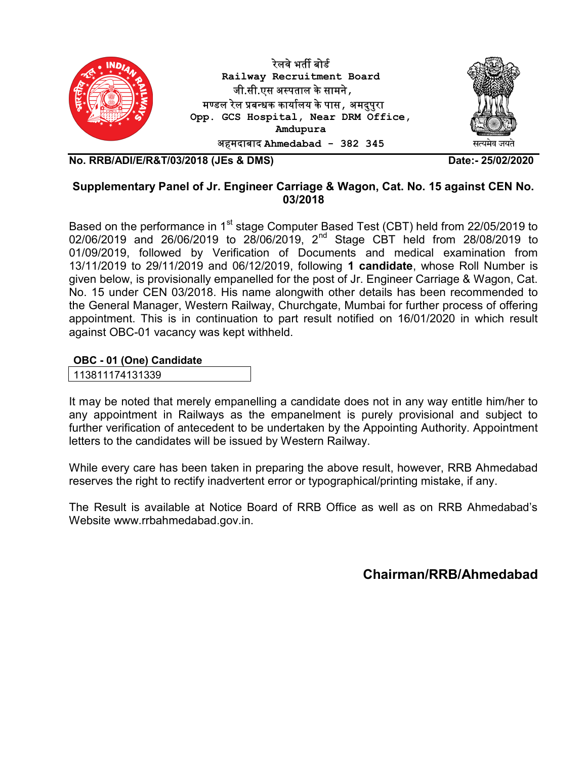

No. RRB/ADI/E/R&T/03/2018 (JEs & DMS) Date:- 25/02/2020

### Supplementary Panel of Jr. Engineer Carriage & Wagon, Cat. No. 15 against CEN No. 03/2018

Based on the performance in 1<sup>st</sup> stage Computer Based Test (CBT) held from 22/05/2019 to 02/06/2019 and 26/06/2019 to 28/06/2019, 2nd Stage CBT held from 28/08/2019 to 01/09/2019, followed by Verification of Documents and medical examination from 13/11/2019 to 29/11/2019 and 06/12/2019, following 1 candidate, whose Roll Number is given below, is provisionally empanelled for the post of Jr. Engineer Carriage & Wagon, Cat. No. 15 under CEN 03/2018. His name alongwith other details has been recommended to the General Manager, Western Railway, Churchgate, Mumbai for further process of offering appointment. This is in continuation to part result notified on 16/01/2020 in which result against OBC-01 vacancy was kept withheld.

### OBC - 01 (One) Candidate

113811174131339

It may be noted that merely empanelling a candidate does not in any way entitle him/her to any appointment in Railways as the empanelment is purely provisional and subject to further verification of antecedent to be undertaken by the Appointing Authority. Appointment letters to the candidates will be issued by Western Railway.

While every care has been taken in preparing the above result, however, RRB Ahmedabad reserves the right to rectify inadvertent error or typographical/printing mistake, if any.

The Result is available at Notice Board of RRB Office as well as on RRB Ahmedabad's Website www.rrbahmedabad.gov.in.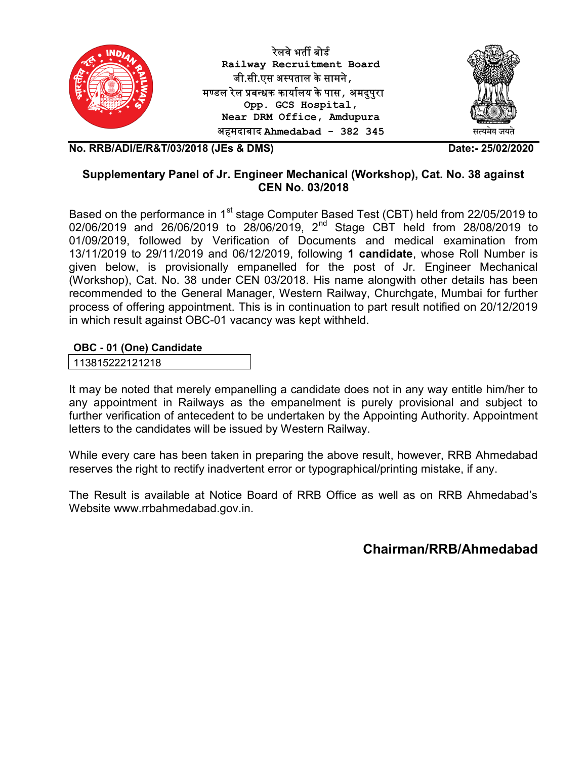

रेलवे भर्ती बोर्ड Railway Recruitment Board जी.सी.एस अ᭭पताल के सामने, मण्डल रेल प्रबन्धक कार्यालय के पास , अमदुपुरा Opp. GCS Hospital, Near DRM Office, Amdupura अहमदाबाद Ahmedabad - 382 345



No. RRB/ADI/E/R&T/03/2018 (JEs & DMS) Date:- 25/02/2020

# Supplementary Panel of Jr. Engineer Mechanical (Workshop), Cat. No. 38 against CEN No. 03/2018

Based on the performance in 1<sup>st</sup> stage Computer Based Test (CBT) held from 22/05/2019 to 02/06/2019 and 26/06/2019 to 28/06/2019, 2<sup>nd</sup> Stage CBT held from 28/08/2019 to 01/09/2019, followed by Verification of Documents and medical examination from 13/11/2019 to 29/11/2019 and 06/12/2019, following 1 candidate, whose Roll Number is given below, is provisionally empanelled for the post of Jr. Engineer Mechanical (Workshop), Cat. No. 38 under CEN 03/2018. His name alongwith other details has been recommended to the General Manager, Western Railway, Churchgate, Mumbai for further process of offering appointment. This is in continuation to part result notified on 20/12/2019 in which result against OBC-01 vacancy was kept withheld.

#### OBC - 01 (One) Candidate

113815222121218

It may be noted that merely empanelling a candidate does not in any way entitle him/her to any appointment in Railways as the empanelment is purely provisional and subject to further verification of antecedent to be undertaken by the Appointing Authority. Appointment letters to the candidates will be issued by Western Railway.

While every care has been taken in preparing the above result, however, RRB Ahmedabad reserves the right to rectify inadvertent error or typographical/printing mistake, if any.

The Result is available at Notice Board of RRB Office as well as on RRB Ahmedabad's Website www.rrbahmedabad.gov.in.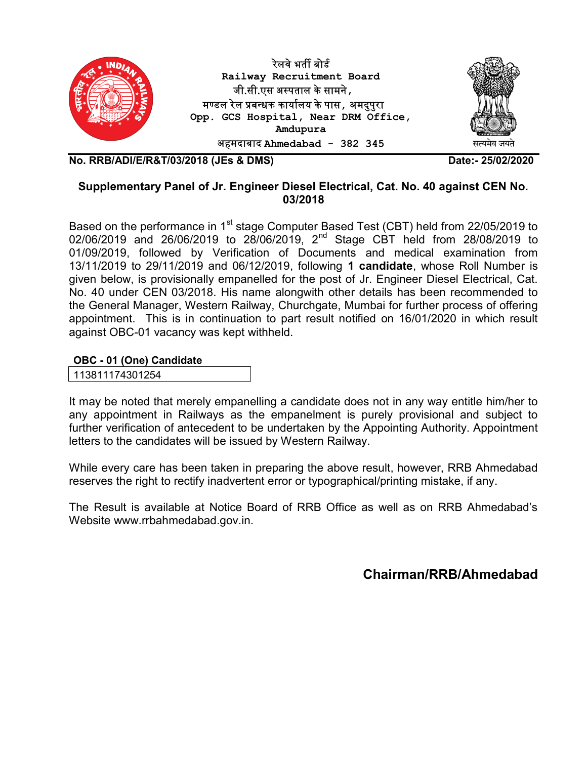

No. RRB/ADI/E/R&T/03/2018 (JEs & DMS) Date:- 25/02/2020

## Supplementary Panel of Jr. Engineer Diesel Electrical, Cat. No. 40 against CEN No. 03/2018

Based on the performance in 1<sup>st</sup> stage Computer Based Test (CBT) held from 22/05/2019 to 02/06/2019 and 26/06/2019 to 28/06/2019, 2nd Stage CBT held from 28/08/2019 to 01/09/2019, followed by Verification of Documents and medical examination from 13/11/2019 to 29/11/2019 and 06/12/2019, following 1 candidate, whose Roll Number is given below, is provisionally empanelled for the post of Jr. Engineer Diesel Electrical, Cat. No. 40 under CEN 03/2018. His name alongwith other details has been recommended to the General Manager, Western Railway, Churchgate, Mumbai for further process of offering appointment. This is in continuation to part result notified on 16/01/2020 in which result against OBC-01 vacancy was kept withheld.

### OBC - 01 (One) Candidate

113811174301254

It may be noted that merely empanelling a candidate does not in any way entitle him/her to any appointment in Railways as the empanelment is purely provisional and subject to further verification of antecedent to be undertaken by the Appointing Authority. Appointment letters to the candidates will be issued by Western Railway.

While every care has been taken in preparing the above result, however, RRB Ahmedabad reserves the right to rectify inadvertent error or typographical/printing mistake, if any.

The Result is available at Notice Board of RRB Office as well as on RRB Ahmedabad's Website www.rrbahmedabad.gov.in.